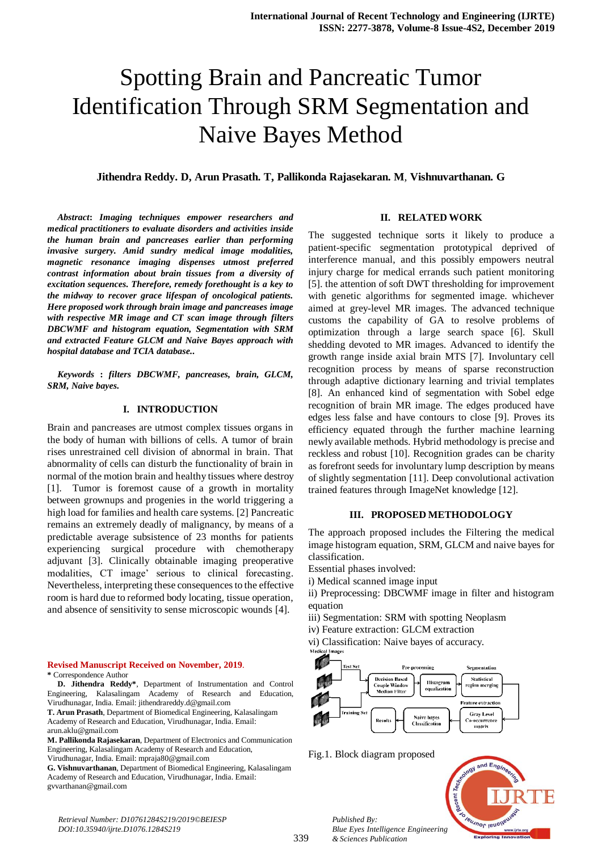# Spotting Brain and Pancreatic Tumor Identification Through SRM Segmentation and Naive Bayes Method

# **Jithendra Reddy. D, Arun Prasath. T, Pallikonda Rajasekaran. M***,* **Vishnuvarthanan. G**

*Abstract***:** *Imaging techniques empower researchers and medical practitioners to evaluate disorders and activities inside the human brain and pancreases earlier than performing invasive surgery. Amid sundry medical image modalities, magnetic resonance imaging dispenses utmost preferred contrast information about brain tissues from a diversity of excitation sequences. Therefore, remedy forethought is a key to the midway to recover grace lifespan of oncological patients. Here proposed work through brain image and pancreases image with respective MR image and CT scan image through filters DBCWMF and histogram equation, Segmentation with SRM and extracted Feature GLCM and Naive Bayes approach with hospital database and TCIA database..*

*Keywords* **:** *filters DBCWMF, pancreases, brain, GLCM, SRM, Naive bayes.*

### **I. INTRODUCTION**

Brain and pancreases are utmost complex tissues organs in the body of human with billions of cells. A tumor of brain rises unrestrained cell division of abnormal in brain. That abnormality of cells can disturb the functionality of brain in normal of the motion brain and healthy tissues where destroy [1]. Tumor is foremost cause of a growth in mortality between grownups and progenies in the world triggering a high load for families and health care systems. [2] Pancreatic remains an extremely deadly of malignancy, by means of a predictable average subsistence of 23 months for patients experiencing surgical procedure with chemotherapy adjuvant [3]. Clinically obtainable imaging preoperative modalities, CT image' serious to clinical forecasting. Nevertheless, interpreting these consequences to the effective room is hard due to reformed body locating, tissue operation, and absence of sensitivity to sense microscopic wounds [4].

#### **Revised Manuscript Received on November, 2019**. **\*** Correspondence Author

**D. Jithendra Reddy\***, Department of Instrumentation and Control Engineering, Kalasalingam Academy of Research and Education, Virudhunagar, India. Email: jithendrareddy.d@gmail.com

**T. Arun Prasath**, Department of Biomedical Engineering, Kalasalingam Academy of Research and Education, Virudhunagar, India. Email: arun.aklu@gmail.com

**M. Pallikonda Rajasekaran**, Department of Electronics and Communication Engineering, Kalasalingam Academy of Research and Education,

Virudhunagar, India. Email: mpraja80@gmail.com

**G. Vishnuvarthanan**, Department of Biomedical Engineering, Kalasalingam Academy of Research and Education, Virudhunagar, India. Email: gvvarthanan@gmail.com

#### **II. RELATED WORK**

The suggested technique sorts it likely to produce a patient-specific segmentation prototypical deprived of interference manual, and this possibly empowers neutral injury charge for medical errands such patient monitoring [5]. the attention of soft DWT thresholding for improvement with genetic algorithms for segmented image. whichever aimed at grey-level MR images. The advanced technique customs the capability of GA to resolve problems of optimization through a large search space [6]. Skull shedding devoted to MR images. Advanced to identify the growth range inside axial brain MTS [7]. Involuntary cell recognition process by means of sparse reconstruction through adaptive dictionary learning and trivial templates [8]. An enhanced kind of segmentation with Sobel edge recognition of brain MR image. The edges produced have edges less false and have contours to close [9]. Proves its efficiency equated through the further machine learning newly available methods. Hybrid methodology is precise and reckless and robust [10]. Recognition grades can be charity as forefront seeds for involuntary lump description by means of slightly segmentation [11]. Deep convolutional activation trained features through ImageNet knowledge [12].

# **III. PROPOSED METHODOLOGY**

The approach proposed includes the Filtering the medical image histogram equation, SRM, GLCM and naive bayes for classification.

- Essential phases involved:
- i) Medical scanned image input

ii) Preprocessing: DBCWMF image in filter and histogram equation

- iii) Segmentation: SRM with spotting Neoplasm
- iv) Feature extraction: GLCM extraction
- vi) Classification: Naive bayes of accuracy.



Fig.1. Block diagram proposed

*Published By:*

*& Sciences Publication* 

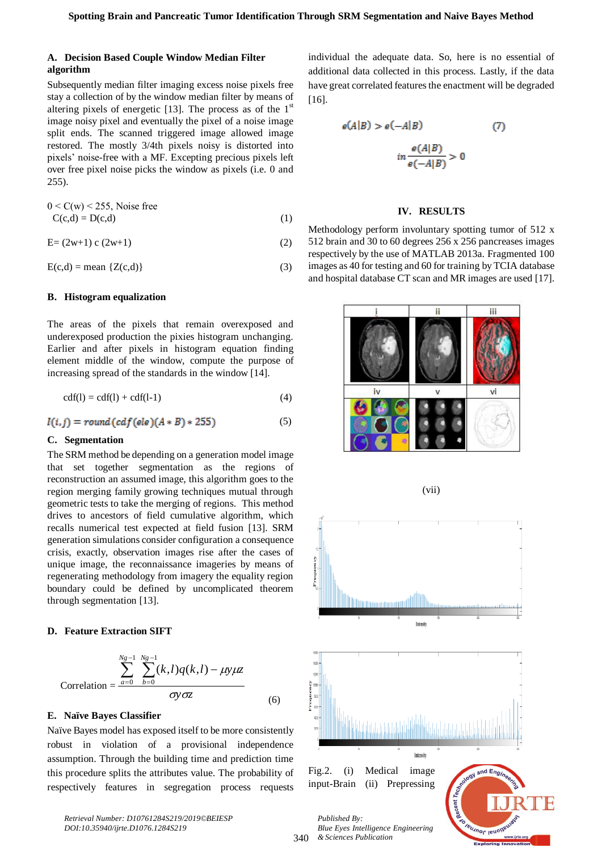# **A. Decision Based Couple Window Median Filter algorithm**

Subsequently median filter imaging excess noise pixels free stay a collection of by the window median filter by means of altering pixels of energetic [13]. The process as of the  $1<sup>st</sup>$ image noisy pixel and eventually the pixel of a noise image split ends. The scanned triggered image allowed image restored. The mostly 3/4th pixels noisy is distorted into pixels' noise-free with a MF. Excepting precious pixels left over free pixel noise picks the window as pixels (i.e. 0 and 255).

$$
0 < C(w) < 255
$$
, Noise free  
C(c,d) = D(c,d) (1)

$$
E = (2w+1) c (2w+1)
$$
 (2)

$$
E(c,d) = \text{mean } \{Z(c,d)\}\tag{3}
$$

#### **B. Histogram equalization**

The areas of the pixels that remain overexposed and underexposed production the pixies histogram unchanging. Earlier and after pixels in histogram equation finding element middle of the window, compute the purpose of increasing spread of the standards in the window [14].

$$
cdf(I) = cdf(I) + cdf(I-1)
$$
\n<sup>(4)</sup>

$$
I(i,j) = round(cdf(ele)(A * B) * 255)
$$
 (5)

## **C. Segmentation**

The SRM method be depending on a generation model image that set together segmentation as the regions of reconstruction an assumed image, this algorithm goes to the region merging family growing techniques mutual through geometric tests to take the merging of regions. This method drives to ancestors of field cumulative algorithm, which recalls numerical test expected at field fusion [13]. SRM generation simulations consider configuration a consequence crisis, exactly, observation images rise after the cases of unique image, the reconnaissance imageries by means of regenerating methodology from imagery the equality region boundary could be defined by uncomplicated theorem through segmentation [13].

### **D. Feature Extraction SIFT**

$$
\text{Correlation} = \frac{\sum_{a=0}^{Ng-1} \sum_{b=0}^{Ng-1} (k,l)q(k,l) - \mu y \mu z}{\sigma y \sigma z}
$$
(6)

# **E. Naïve Bayes Classifier**

Naïve Bayes model has exposed itself to be more consistently robust in violation of a provisional independence assumption. Through the building time and prediction time this procedure splits the attributes value. The probability of respectively features in segregation process requests individual the adequate data. So, here is no essential of additional data collected in this process. Lastly, if the data have great correlated features the enactment will be degraded [16].

$$
e(A|B) > e(-A|B)
$$
 (7)  

$$
in \frac{e(A|B)}{e(-A|B)} > 0
$$

#### **IV. RESULTS**

Methodology perform involuntary spotting tumor of 512 x 512 brain and 30 to 60 degrees 256 x 256 pancreases images respectively by the use of MATLAB 2013a. Fragmented 100 images as 40 for testing and 60 for training by TCIA database and hospital database CT scan and MR images are used [17].



(vii)



*Retrieval Number: D10761284S219/2019©BEIESP DOI:10.35940/ijrte.D1076.1284S219*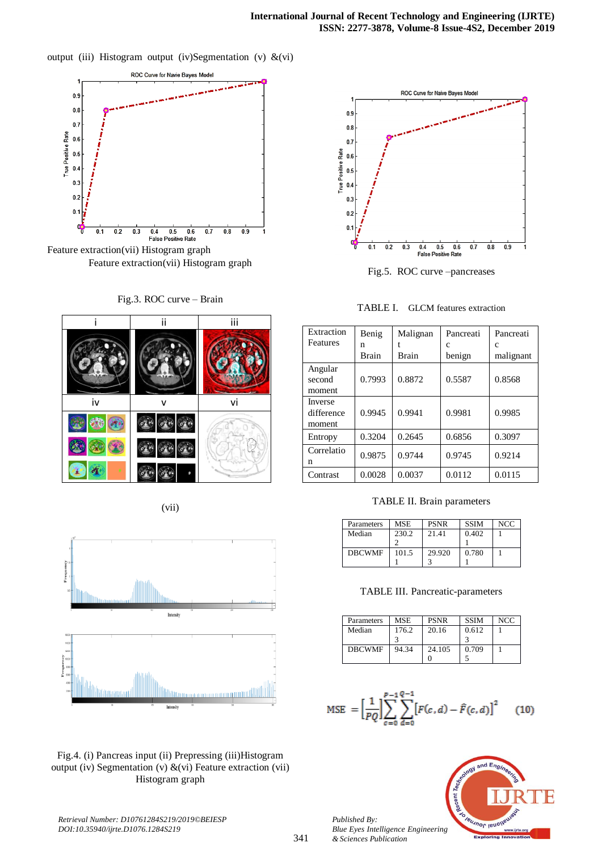output (iii) Histogram output (iv)Segmentation (v) &(vi)













Fig.4. (i) Pancreas input (ii) Prepressing (iii)Histogram output (iv) Segmentation (v)  $\&$ (vi) Feature extraction (vii) Histogram graph



Fig.5. ROC curve –pancreases

TABLE I. GLCM features extraction

| Extraction                      | Benig        | Malignan     | Pancreati | Pancreati |
|---------------------------------|--------------|--------------|-----------|-----------|
| Features                        | n            |              | c         | C         |
|                                 | <b>Brain</b> | <b>Brain</b> | benign    | malignant |
| Angular<br>second<br>moment     | 0.7993       | 0.8872       | 0.5587    | 0.8568    |
| Inverse<br>difference<br>moment | 0.9945       | 0.9941       | 0.9981    | 0.9985    |
| Entropy                         | 0.3204       | 0.2645       | 0.6856    | 0.3097    |
| Correlatio<br>n                 | 0.9875       | 0.9744       | 0.9745    | 0.9214    |
| Contrast                        | 0.0028       | 0.0037       | 0.0112    | 0.0115    |

TABLE II. Brain parameters

| Parameters    | MSE   | <b>PSNR</b> | <b>SSIM</b> | <b>NCC</b> |
|---------------|-------|-------------|-------------|------------|
| Median        | 230.2 | 21.41       | 0.402       |            |
|               |       |             |             |            |
| <b>DBCWMF</b> | 101.5 | 29.920      | 0.780       |            |
|               |       |             |             |            |

# TABLE III. Pancreatic-parameters

| Parameters    | <b>MSE</b> | <b>PSNR</b> | <b>SSIM</b> | <b>NCC</b> |
|---------------|------------|-------------|-------------|------------|
| Median        | 176.2      | 20.16       | 0.612       |            |
|               |            |             |             |            |
| <b>DBCWMF</b> | 94.34      | 24.105      | 0.709       |            |
|               |            |             |             |            |

$$
\text{MSE} = \left[\frac{1}{PQ}\right] \sum_{c=0}^{P-1} \sum_{d=0}^{Q-1} \left[F(c,d) - \hat{F}(c,d)\right]^2 \tag{10}
$$



*Published By: Blue Eyes Intelligence Engineering & Sciences Publication*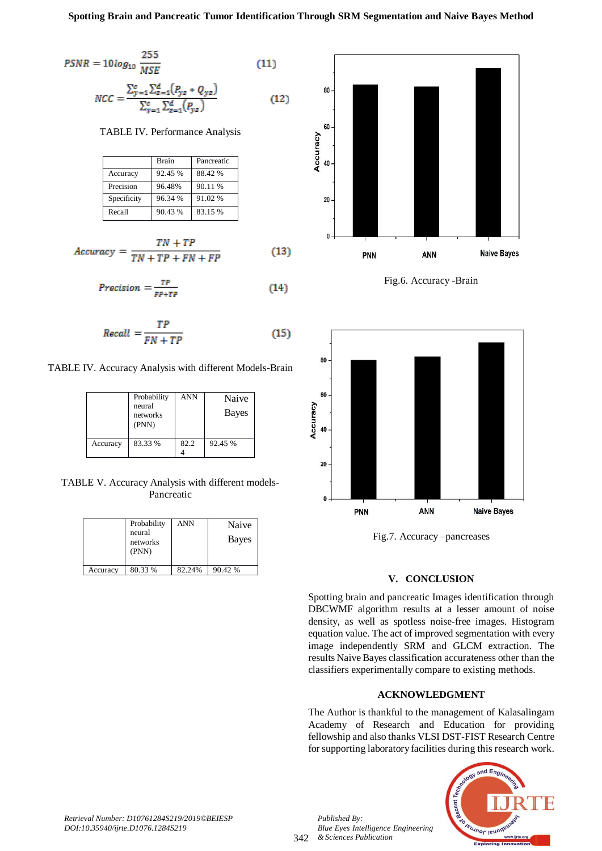$$
PSNR = 10\log_{10} \frac{255}{MSE}
$$
 (11)

$$
NCC = \frac{\sum_{y=1}^{c} \sum_{z=1}^{d} (P_{yz} * Q_{yz})}{\sum_{y=1}^{c} \sum_{z=1}^{d} (P_{yz})}
$$
(12)

TABLE IV. Performance Analysis

|             | <b>Brain</b> | Pancreatic |
|-------------|--------------|------------|
| Accuracy    | 92.45 %      | 88.42 %    |
| Precision   | 96.48%       | 90.11 %    |
| Specificity | 96.34 %      | 91.02 %    |
| Recall      | 90.43 %      | 83.15 %    |

$$
Accuracy = \frac{TN + TP}{TN + TP + FN + FP}
$$
 (13)

$$
Precision = \frac{TP}{FP + TP}
$$
 (14)

$$
Recall = \frac{TP}{FN + TP}
$$
 (15)

TABLE IV. Accuracy Analysis with different Models-Brain

|          | Probability<br>neural<br>networks<br>(PNN) | <b>ANN</b> | Naive<br>Bayes |
|----------|--------------------------------------------|------------|----------------|
| Accuracy | 83.33 %                                    | 82.2       | 92.45 %        |

TABLE V. Accuracy Analysis with different models-Pancreatic

|          | Probability<br>neural<br>networks<br>(PNN) | ANN    | Naive<br>Bayes |
|----------|--------------------------------------------|--------|----------------|
| Accuracy | 80.33 %                                    | 82.24% | 90.42 %        |



Fig.6. Accuracy -Brain



Fig.7. Accuracy –pancreases

# **V. CONCLUSION**

Spotting brain and pancreatic Images identification through DBCWMF algorithm results at a lesser amount of noise density, as well as spotless noise-free images. Histogram equation value. The act of improved segmentation with every image independently SRM and GLCM extraction. The results Naive Bayes classification accurateness other than the classifiers experimentally compare to existing methods.

# **ACKNOWLEDGMENT**

The Author is thankful to the management of Kalasalingam Academy of Research and Education for providing fellowship and also thanks VLSI DST-FIST Research Centre for supporting laboratory facilities during this research work.



342 *& Sciences Publication* 

*Published By:*

*Blue Eyes Intelligence Engineering*